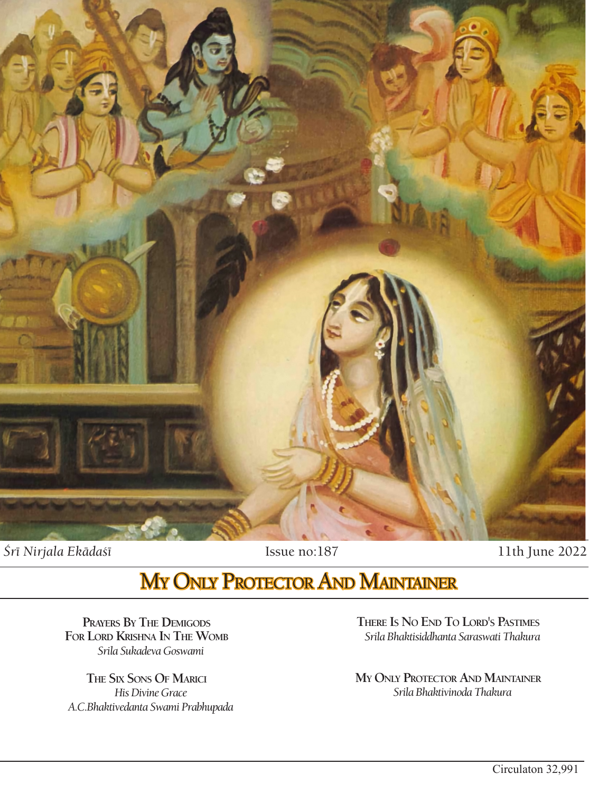

 *Çré Nirjala Ekädaçé* Issue no:18711th June 2022

# **MY ONLY PROTECTOR AND MAINTAINER**

**Prayers By The Demigods For Lord Krishna In The Womb** *Srila Sukadeva Goswami*

**The Six Sons Of Marici** *His Divine Grace A.C.Bhaktivedanta Swami Prabhupada* **There Is No End To Lord's Pastimes** *Srila Bhaktisiddhanta Saraswati Thakura*

**My Only Protector And Maintainer** *Srila Bhaktivinoda Thakura*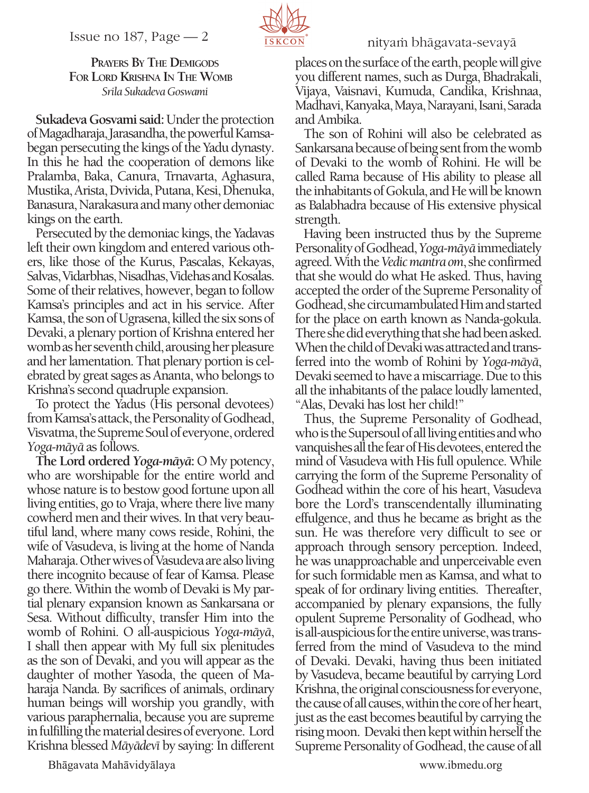**Prayers By The Demigods For Lord Krishna In The Womb** *Srila Sukadeva Goswami*

**Sukadeva Gosvami said:** Under the protection of Magadharaja, Jarasandha, the powerful Kamsabegan persecuting the kings of the Yadu dynasty. In this he had the cooperation of demons like Pralamba, Baka, Canura, Trnavarta, Aghasura, Mustika, Arista, Dvivida, Putana, Kesi, Dhenuka, Banasura, Narakasura and many other demoniac kings on the earth.

Persecuted by the demoniac kings, the Yadavas left their own kingdom and entered various others, like those of the Kurus, Pascalas, Kekayas, Salvas, Vidarbhas, Nisadhas, Videhas and Kosalas. Some of their relatives, however, began to follow Kamsa's principles and act in his service. After Kamsa, the son of Ugrasena, killed the six sons of Devaki, a plenary portion of Krishna entered her womb as her seventh child, arousing her pleasure and her lamentation. That plenary portion is celebrated by great sages as Ananta, who belongs to Krishna's second quadruple expansion.

To protect the Yadus (His personal devotees) from Kamsa's attack, the Personality of Godhead, Visvatma, the Supreme Soul of everyone, ordered *Yoga-mäyä* as follows.

**The Lord ordered** *Yoga-mäyä***:** O My potency, who are worshipable for the entire world and whose nature is to bestow good fortune upon all living entities, go to Vraja, where there live many cowherd men and their wives. In that very beautiful land, where many cows reside, Rohini, the wife of Vasudeva, is living at the home of Nanda Maharaja. Other wives of Vasudeva are also living there incognito because of fear of Kamsa. Please go there. Within the womb of Devaki is My partial plenary expansion known as Sankarsana or Sesa. Without difficulty, transfer Him into the womb of Rohini. O all-auspicious *Yoga-mäyä*, I shall then appear with My full six plenitudes as the son of Devaki, and you will appear as the daughter of mother Yasoda, the queen of Maharaja Nanda. By sacrifices of animals, ordinary human beings will worship you grandly, with various paraphernalia, because you are supreme in fulfilling the material desires of everyone. Lord Krishna blessed *Mäyädevé* by saying: In different

# Issue no 187, Page  $-2$  nityan bhāgavata-sevayā

places on the surface of the earth, people will give you different names, such as Durga, Bhadrakali, Vijaya, Vaisnavi, Kumuda, Candika, Krishnaa, Madhavi, Kanyaka, Maya, Narayani, Isani, Sarada and Ambika.

The son of Rohini will also be celebrated as Sankarsana because of being sent from the womb of Devaki to the womb of Rohini. He will be called Rama because of His ability to please all the inhabitants of Gokula, and He will be known as Balabhadra because of His extensive physical strength.

Having been instructed thus by the Supreme Personality of Godhead, *Yoga-mäyä* immediately agreed. With the *Vedic mantra om*, she confirmed that she would do what He asked. Thus, having accepted the order of the Supreme Personality of Godhead, she circumambulated Him and started for the place on earth known as Nanda-gokula. There she did everything that she had been asked. When the child of Devaki was attracted and transferred into the womb of Rohini by *Yoga-mäyä*, Devaki seemed to have a miscarriage. Due to this all the inhabitants of the palace loudly lamented, "Alas, Devaki has lost her child!"

Thus, the Supreme Personality of Godhead, who is the Supersoul of all living entities and who vanquishes all the fear of His devotees, entered the mind of Vasudeva with His full opulence. While carrying the form of the Supreme Personality of Godhead within the core of his heart, Vasudeva bore the Lord's transcendentally illuminating effulgence, and thus he became as bright as the sun. He was therefore very difficult to see or approach through sensory perception. Indeed, he was unapproachable and unperceivable even for such formidable men as Kamsa, and what to speak of for ordinary living entities. Thereafter, accompanied by plenary expansions, the fully opulent Supreme Personality of Godhead, who is all-auspicious for the entire universe, was transferred from the mind of Vasudeva to the mind of Devaki. Devaki, having thus been initiated by Vasudeva, became beautiful by carrying Lord Krishna, the original consciousness for everyone, the cause of all causes, within the core of her heart, just as the east becomes beautiful by carrying the rising moon. Devaki then kept within herself the Supreme Personality of Godhead, the cause of all

Bhāgavata Mahāvidyālaya www.ibmedu.org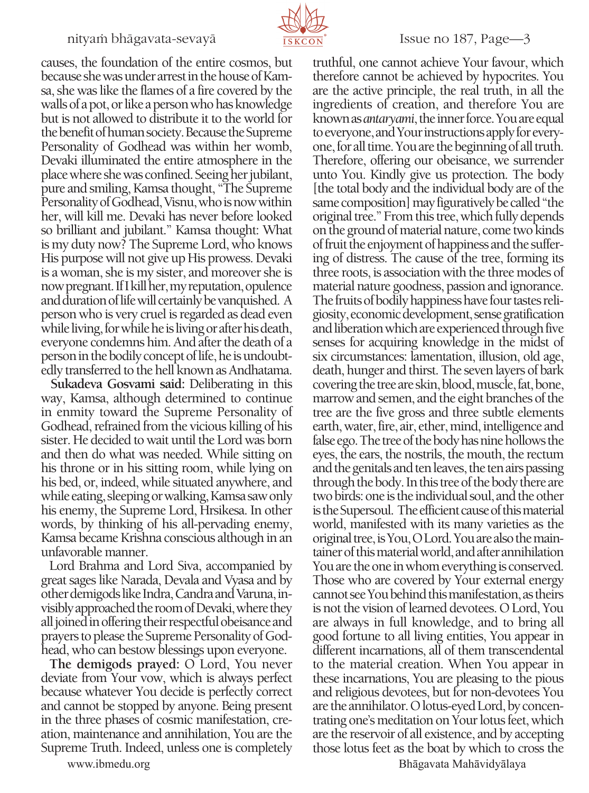causes, the foundation of the entire cosmos, but because she was under arrest in the house of Kamsa, she was like the flames of a fire covered by the walls of a pot, or like a person who has knowledge but is not allowed to distribute it to the world for the benefit of human society. Because the Supreme Personality of Godhead was within her womb, Devaki illuminated the entire atmosphere in the place where she was confined. Seeing her jubilant, pure and smiling, Kamsa thought, "The Supreme Personality of Godhead, Visnu, who is now within her, will kill me. Devaki has never before looked so brilliant and jubilant." Kamsa thought: What is my duty now? The Supreme Lord, who knows His purpose will not give up His prowess. Devaki is a woman, she is my sister, and moreover she is now pregnant. If I kill her, my reputation, opulence and duration of life will certainly be vanquished. A person who is very cruel is regarded as dead even while living, for while he is living or after his death, everyone condemns him. And after the death of a person in the bodily concept of life, he is undoubt- edly transferred to the hell known as Andhatama.

 **Sukadeva Gosvami said:** Deliberating in this way, Kamsa, although determined to continue in enmity toward the Supreme Personality of Godhead, refrained from the vicious killing of his sister. He decided to wait until the Lord was born and then do what was needed. While sitting on his throne or in his sitting room, while lying on his bed, or, indeed, while situated anywhere, and while eating, sleeping or walking, Kamsa saw only his enemy, the Supreme Lord, Hrsikesa. In other words, by thinking of his all-pervading enemy, Kamsa became Krishna conscious although in an unfavorable manner.

Lord Brahma and Lord Siva, accompanied by great sages like Narada, Devala and Vyasa and by other demigods like Indra, Candra and Varuna, invisibly approached the room of Devaki, where they all joined in offering their respectful obeisance and prayers to please the Supreme Personality of Godhead, who can bestow blessings upon everyone.

**The demigods prayed:** O Lord, You never deviate from Your vow, which is always perfect because whatever You decide is perfectly correct and cannot be stopped by anyone. Being present in the three phases of cosmic manifestation, creation, maintenance and annihilation, You are the Supreme Truth. Indeed, unless one is completely



truthful, one cannot achieve Your favour, which therefore cannot be achieved by hypocrites. You are the active principle, the real truth, in all the ingredients of creation, and therefore You are known as *antaryami*, the inner force. You are equal to everyone, and Your instructions apply for everyone, for all time. You are the beginning of all truth. Therefore, offering our obeisance, we surrender unto You. Kindly give us protection. The body [the total body and the individual body are of the same composition] may figuratively be called "the original tree." From this tree, which fully depends on the ground of material nature, come two kinds of fruit the enjoyment of happiness and the suffering of distress. The cause of the tree, forming its three roots, is association with the three modes of material nature goodness, passion and ignorance. The fruits of bodily happiness have four tastes religiosity, economic development, sense gratification and liberation which are experienced through five senses for acquiring knowledge in the midst of six circumstances: lamentation, illusion, old age, death, hunger and thirst. The seven layers of bark covering the tree are skin, blood, muscle, fat, bone, marrow and semen, and the eight branches of the tree are the five gross and three subtle elements earth, water, fire, air, ether, mind, intelligence and false ego. The tree of the body has nine hollows the eyes, the ears, the nostrils, the mouth, the rectum and the genitals and ten leaves, the ten airs passing through the body. In this tree of the body there are two birds: one is the individual soul, and the other is the Supersoul. The efficient cause of this material world, manifested with its many varieties as the original tree, is You, O Lord. You are also the maintainer of this material world, and after annihilation You are the one in whom everything is conserved. Those who are covered by Your external energy cannot see You behind this manifestation, as theirs is not the vision of learned devotees. O Lord, You are always in full knowledge, and to bring all good fortune to all living entities, You appear in different incarnations, all of them transcendental to the material creation. When You appear in these incarnations, You are pleasing to the pious and religious devotees, but for non-devotees You are the annihilator. O lotus-eyed Lord, by concentrating one's meditation on Your lotus feet, which are the reservoir of all existence, and by accepting those lotus feet as the boat by which to cross the

www.ibmedu.org Bhāgavata Mahāvidyālaya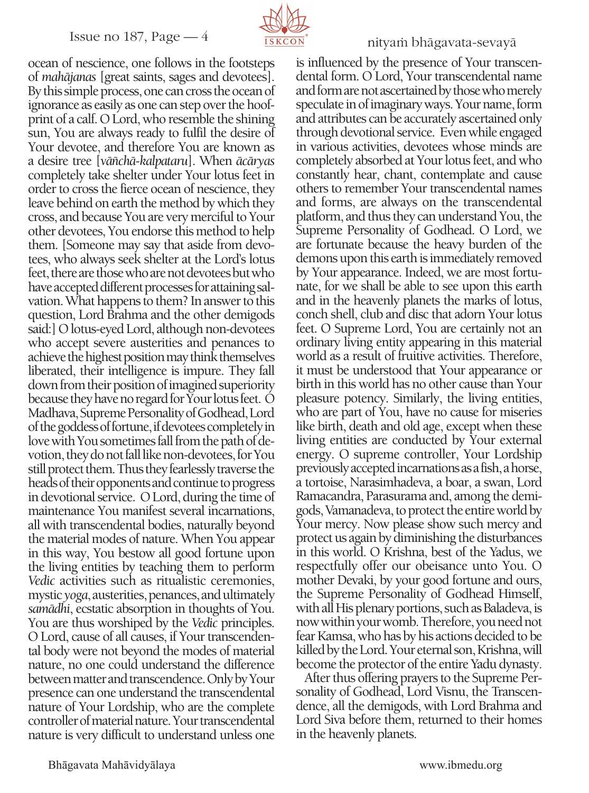

ocean of nescience, one follows in the footsteps of *mahäjanas* [great saints, sages and devotees]. By this simple process, one can cross the ocean of ignorance as easily as one can step over the hoofprint of a calf. O Lord, who resemble the shining sun, You are always ready to fulfil the desire of Your devotee, and therefore You are known as a desire tree [*väïchä-kalpataru*]. When *äcäryas* completely take shelter under Your lotus feet in order to cross the fierce ocean of nescience, they leave behind on earth the method by which they cross, and because You are very merciful to Your other devotees, You endorse this method to help them. [Someone may say that aside from devotees, who always seek shelter at the Lord's lotus feet, there are those who are not devotees but who have accepted different processes for attaining salvation. What happens to them? In answer to this question, Lord Brahma and the other demigods said:] O lotus-eyed Lord, although non-devotees who accept severe austerities and penances to achieve the highest position may think themselves liberated, their intelligence is impure. They fall down from their position of imagined superiority because they have no regard for Your lotus feet. O Madhava, Supreme Personality of Godhead, Lord of the goddess of fortune, if devotees completely in love with You sometimes fall from the path of devotion, they do not fall like non-devotees, for You still protect them. Thus they fearlessly traverse the heads of their opponents and continue to progress in devotional service. O Lord, during the time of maintenance You manifest several incarnations, all with transcendental bodies, naturally beyond the material modes of nature. When You appear in this way, You bestow all good fortune upon the living entities by teaching them to perform *Vedic* activities such as ritualistic ceremonies, mystic *yoga*, austerities, penances, and ultimately *samädhi*, ecstatic absorption in thoughts of You. You are thus worshiped by the *Vedic* principles. O Lord, cause of all causes, if Your transcendental body were not beyond the modes of material nature, no one could understand the difference between matter and transcendence. Only by Your presence can one understand the transcendental nature of Your Lordship, who are the complete controller of material nature. Your transcendental nature is very difficult to understand unless one

## Issue no 187, Page — 4  $\frac{180000}{150000}$  nityani bhāgavata-sevayā

is influenced by the presence of Your transcen- dental form. O Lord, Your transcendental name and form are not ascertained by those who merely speculate in of imaginary ways. Your name, form and attributes can be accurately ascertained only through devotional service. Even while engaged in various activities, devotees whose minds are completely absorbed at Your lotus feet, and who constantly hear, chant, contemplate and cause others to remember Your transcendental names and forms, are always on the transcendental platform, and thus they can understand You, the Supreme Personality of Godhead. O Lord, we are fortunate because the heavy burden of the demons upon this earth is immediately removed by Your appearance. Indeed, we are most fortu- nate, for we shall be able to see upon this earth and in the heavenly planets the marks of lotus, conch shell, club and disc that adorn Your lotus feet. O Supreme Lord, You are certainly not an ordinary living entity appearing in this material world as a result of fruitive activities. Therefore, it must be understood that Your appearance or birth in this world has no other cause than Your pleasure potency. Similarly, the living entities, who are part of You, have no cause for miseries like birth, death and old age, except when these living entities are conducted by Your external energy. O supreme controller, Your Lordship previously accepted incarnations as a fish, a horse, a tortoise, Narasimhadeva, a boar, a swan, Lord Ramacandra, Parasurama and, among the demi- gods, Vamanadeva, to protect the entire world by Your mercy. Now please show such mercy and protect us again by diminishing the disturbances in this world. O Krishna, best of the Yadus, we respectfully offer our obeisance unto You. O mother Devaki, by your good fortune and ours, the Supreme Personality of Godhead Himself, with all His plenary portions, such as Baladeva, is now within your womb. Therefore, you need not fear Kamsa, who has by his actions decided to be killed by the Lord. Your eternal son, Krishna, will become the protector of the entire Yadu dynasty.

After thus offering prayers to the Supreme Per- sonality of Godhead, Lord Visnu, the Transcen- dence, all the demigods, with Lord Brahma and Lord Siva before them, returned to their homes in the heavenly planets.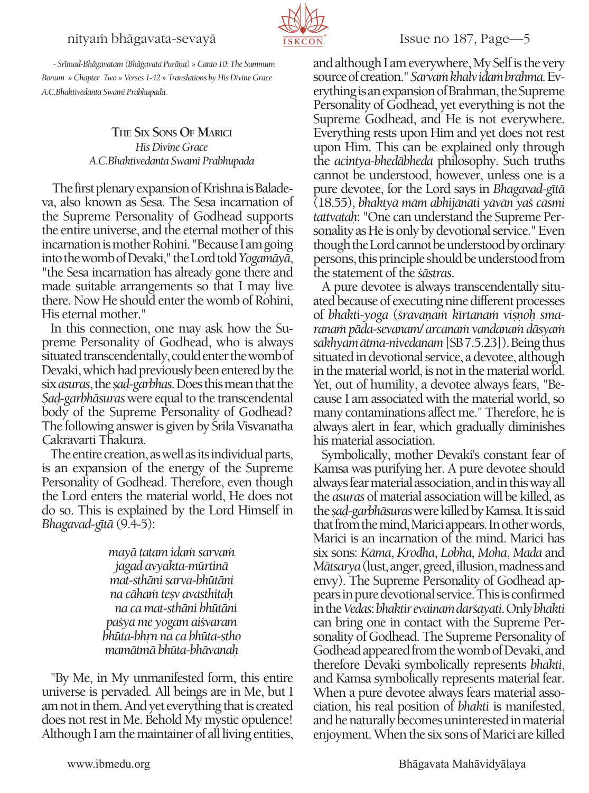### nityam bhāgavata-sevayā  $\overline{\text{iskcon}}$  Issue no 187, Page—5

*- Çrémad-Bhägavatam (Bhägavata Puräëa) » Canto 10: The Summum Bonum » Chapter Two » Verses 1-42 » Translations by His Divine Grace A.C.Bhaktivedanta Swami Prabhupada.*

#### **The Six Sons Of Marici** *His Divine Grace A.C.Bhaktivedanta Swami Prabhupada*

 The first plenary expansion of Krishna is Baladeva, also known as Sesa. The Sesa incarnation of the Supreme Personality of Godhead supports the entire universe, and the eternal mother of this incarnation is mother Rohini. "Because I am going into the womb of Devaki," the Lord told *Yogamäyä*, "the Sesa incarnation has already gone there and made suitable arrangements so that I may live there. Now He should enter the womb of Rohini, His eternal mother."

In this connection, one may ask how the Supreme Personality of Godhead, who is always situated transcendentally, could enter the womb of Devaki, which had previously been entered by the six *asuras*, the *ñaò-garbhas*. Does this mean that the *Ñaò-garbhäsuras* were equal to the transcendental body of the Supreme Personality of Godhead? The following answer is given by Srila Visvanatha Cakravarti Thakura.

The entire creation, as well as its individual parts, is an expansion of the energy of the Supreme Personality of Godhead. Therefore, even though the Lord enters the material world, He does not do so. This is explained by the Lord Himself in *Bhagavad-gétä* (9.4-5):

> *mayä tatam idaà sarvaà jagad avyakta-mürtinä mat-sthäni sarva-bhütäni na cähaà teñv avasthitaù na ca mat-sthäni bhütäni paçya me yogam aiçvaram bhüta-bhån na ca bhüta-stho mamätmä bhüta-bhävanaù*

"By Me, in My unmanifested form, this entire universe is pervaded. All beings are in Me, but I am not in them. And yet everything that is created does not rest in Me. Behold My mystic opulence! Although I am the maintainer of all living entities,



and although I am everywhere, My Self is the very source of creation." *Sarvaà khalv idaà brahma.* Ev- erything is an expansion of Brahman, the Supreme Personality of Godhead, yet everything is not the Supreme Godhead, and He is not everywhere. Everything rests upon Him and yet does not rest upon Him. This can be explained only through the *acintya-bhedäbheda* philosophy. Such truths cannot be understood, however, unless one is a pure devotee, for the Lord says in *Bhagavad-gétä*  (18.55), *bhaktyä mäm abhijänäti yävän yaç cäsmi tattvataù*: "One can understand the Supreme Per- sonality as He is only by devotional service." Even though the Lord cannot be understood by ordinary persons, this principle should be understood from

the statement of the *çästras*. A pure devotee is always transcendentally situated because of executing nine different processes of *bhakti-yoga* (*śravanam kūrtanam visnoh smaranaà päda-sevanam/ arcanaà vandanaà däsyaà sakhyam ätma-nivedanam* [SB 7.5.23]). Being thus situated in devotional service, a devotee, although in the material world, is not in the material world. Yet, out of humility, a devotee always fears, "Be- cause I am associated with the material world, so many contaminations affect me." Therefore, he is always alert in fear, which gradually diminishes his material association.

Symbolically, mother Devaki's constant fear of Kamsa was purifying her. A pure devotee should always fear material association, and in this way all the *asuras* of material association will be killed, as the *ñaò-garbhäsuras* were killed by Kamsa. It is said that from the mind, Marici appears. In other words, Marici is an incarnation of the mind. Marici has six sons: *Käma*, *Krodha*, *Lobha*, *Moha*, *Mada* and *Mätsarya* (lust, anger, greed, illusion, madness and envy). The Supreme Personality of Godhead ap- pears in pure devotional service. This is confirmed in the *Vedas*: *bhaktir evainaà darçayati*. Only *bhakti*  can bring one in contact with the Supreme Personality of Godhead. The Supreme Personality of Godhead appeared from the womb of Devaki, and therefore Devaki symbolically represents *bhakti*, and Kamsa symbolically represents material fear. When a pure devotee always fears material association, his real position of *bhakti* is manifested, and he naturally becomes uninterested in material enjoyment. When the six sons of Marici are killed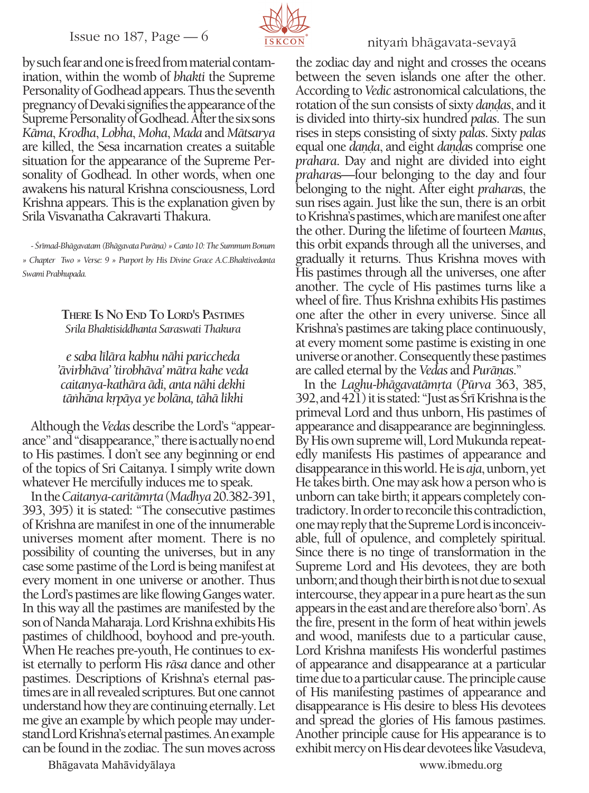

by such fear and one is freed from material contam- ination, within the womb of *bhakti* the Supreme Personality of Godhead appears. Thus the seventh pregnancy of Devaki signifies the appearance of the Supreme Personality of Godhead. After the six sons *Käma*, *Krodha*, *Lobha*, *Moha*, *Mada* and *Mätsarya*  are killed, the Sesa incarnation creates a suitable situation for the appearance of the Supreme Per- sonality of Godhead. In other words, when one awakens his natural Krishna consciousness, Lord Krishna appears. This is the explanation given by Srila Visvanatha Cakravarti Thakura.

*- Çrémad-Bhägavatam (Bhägavata Puräëa) » Canto 10: The Summum Bonum » Chapter Two » Verse: 9 » Purport by His Divine Grace A.C.Bhaktivedanta Swami Prabhupada.* 

#### **There Is No End To Lord's Pastimes** *Srila Bhaktisiddhanta Saraswati Thakura*

*e saba lélära kabhu nähi pariccheda 'ävirbhäva' 'tirobhäva' mätra kahe veda caitanya-kathära ädi, anta nähi dekhi täìhäna kåpäya ye boläna, tähä likhi*

Although the *Vedas* describe the Lord's "appear- ance" and "disappearance," there is actually no end to His pastimes. I don't see any beginning or end of the topics of Sri Caitanya. I simply write down whatever He mercifully induces me to speak.

In the *Caitanya-caritämåta* (*Madhya* 20.382-391, 393, 395) it is stated: "The consecutive pastimes of Krishna are manifest in one of the innumerable universes moment after moment. There is no possibility of counting the universes, but in any case some pastime of the Lord is being manifest at every moment in one universe or another. Thus the Lord's pastimes are like flowing Ganges water. In this way all the pastimes are manifested by the son of Nanda Maharaja. Lord Krishna exhibits His pastimes of childhood, boyhood and pre-youth. When He reaches pre-youth, He continues to exist eternally to perform His *räsa* dance and other pastimes. Descriptions of Krishna's eternal pas- times are in all revealed scriptures. But one cannot understand how they are continuing eternally. Let me give an example by which people may under- stand Lord Krishna's eternal pastimes. An example can be found in the zodiac. The sun moves across

Bhāgavata Mahāvidyālaya www.ibmedu.org

## Issue no 187, Page — 6  $\frac{180000}{1500000}$  nityani bhāgavata-sevayā

the zodiac day and night and crosses the oceans between the seven islands one after the other. According to *Vedic* astronomical calculations, the rotation of the sun consists of sixty *dandas*, and it is divided into thirty-six hundred *palas*. The sun rises in steps consisting of sixty *palas*. Sixty *palas*  equal one *danda*, and eight *dandas* comprise one *prahara*. Day and night are divided into eight *prahara*s—four belonging to the day and four belonging to the night. After eight *prahara*s, the sun rises again. Just like the sun, there is an orbit to Krishna's pastimes, which are manifest one after the other. During the lifetime of fourteen *Manus*, this orbit expands through all the universes, and gradually it returns. Thus Krishna moves with His pastimes through all the universes, one after another. The cycle of His pastimes turns like a wheel of fire. Thus Krishna exhibits His pastimes one after the other in every universe. Since all Krishna's pastimes are taking place continuously, at every moment some pastime is existing in one universe or another. Consequently these pastimes are called eternal by the *Vedas* and *Purānas*."

In the *Laghu-bhāgavatāmrta* (Pūrva 363, 385, 392, and 421) it is stated: "Just as Srī Krishna is the primeval Lord and thus unborn, His pastimes of appearance and disappearance are beginningless. By His own supreme will, Lord Mukunda repeat- edly manifests His pastimes of appearance and disappearance in this world. He is *aja*, unborn, yet He takes birth. One may ask how a person who is unborn can take birth; it appears completely con- tradictory. In order to reconcile this contradiction, one may reply that the Supreme Lord is inconceiv- able, full of opulence, and completely spiritual. Since there is no tinge of transformation in the Supreme Lord and His devotees, they are both unborn; and though their birth is not due to sexual intercourse, they appear in a pure heart as the sun appears in the east and are therefore also 'born'. As the fire, present in the form of heat within jewels and wood, manifests due to a particular cause, Lord Krishna manifests His wonderful pastimes of appearance and disappearance at a particular time due to a particular cause. The principle cause of His manifesting pastimes of appearance and disappearance is His desire to bless His devotees and spread the glories of His famous pastimes. Another principle cause for His appearance is to exhibit mercy on His dear devotees like Vasudeva,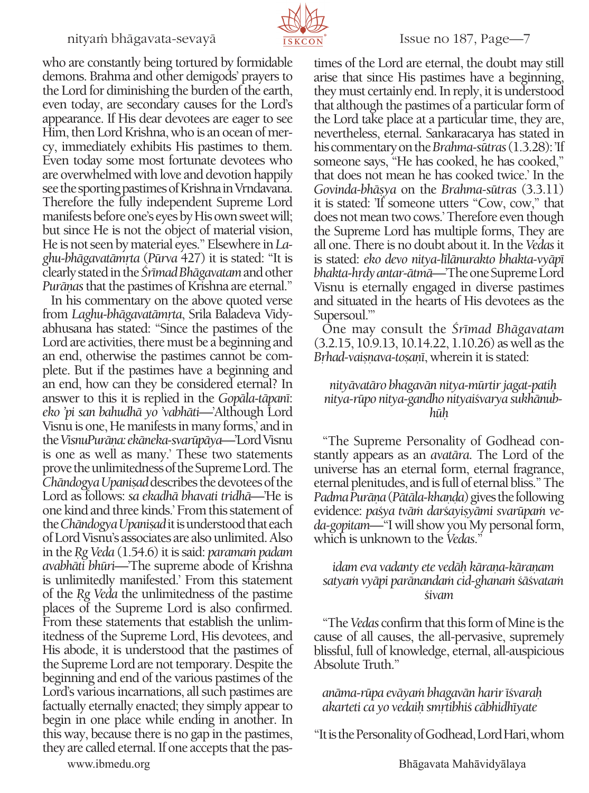

who are constantly being tortured by formidable demons. Brahma and other demigods' prayers to the Lord for diminishing the burden of the earth, even today, are secondary causes for the Lord's appearance. If His dear devotees are eager to see Him, then Lord Krishna, who is an ocean of mercy, immediately exhibits His pastimes to them. Even today some most fortunate devotees who are overwhelmed with love and devotion happily see the sporting pastimes of Krishna in Vrndavana. Therefore the fully independent Supreme Lord manifests before one's eyes by His own sweet will; but since He is not the object of material vision, He is not seen by material eyes." Elsewhere in *Laghu-bhägavatämåta* (*Pürva* 427) it is stated: "It is clearly stated in the *Çrémad Bhägavatam* and other Purāņas that the pastimes of Krishna are eternal."

In his commentary on the above quoted verse from *Laghu-bhāgavatāmrta*, Srila Baladeva Vidyabhusana has stated: "Since the pastimes of the Lord are activities, there must be a beginning and an end, otherwise the pastimes cannot be com- plete. But if the pastimes have a beginning and an end, how can they be considered eternal? In answer to this it is replied in the *Gopäla-täpané*: *eko 'pi san bahudhä yo 'vabhäti*—'Although Lord Visnu is one, He manifests in many forms,' and in the *VisnuPuräëa: ekäneka-svarüpäya*—'Lord Visnu is one as well as many.' These two statements prove the unlimitedness of the Supreme Lord. The *Chāndogya Upanisad describes the devotees of the* Lord as follows: *sa ekadhä bhavati tridhä*—'He is one kind and three kinds.' From this statement of the *Chāndogya Upanisad* it is understood that each of Lord Visnu's associates are also unlimited. Also in the Rg *Veda* (1.54.6) it is said: *paramam padam avabhäti bhüri*—'The supreme abode of Krishna is unlimitedly manifested.' From this statement of the *Åg Veda* the unlimitedness of the pastime places of the Supreme Lord is also confirmed. From these statements that establish the unlimitedness of the Supreme Lord, His devotees, and His abode, it is understood that the pastimes of the Supreme Lord are not temporary. Despite the beginning and end of the various pastimes of the Lord's various incarnations, all such pastimes are factually eternally enacted; they simply appear to begin in one place while ending in another. In this way, because there is no gap in the pastimes, they are called eternal. If one accepts that the pas-

times of the Lord are eternal, the doubt may still arise that since His pastimes have a beginning, they must certainly end. In reply, it is understood that although the pastimes of a particular form of the Lord take place at a particular time, they are, nevertheless, eternal. Sankaracarya has stated in his commentary on the *Brahma-sütras* (1.3.28): 'If someone says, "He has cooked, he has cooked," that does not mean he has cooked twice.' In the *Govinda-bhäñya* on the *Brahma-sütras* (3.3.11) it is stated: 'If someone utters "Cow, cow," that does not mean two cows.' Therefore even though the Supreme Lord has multiple forms, They are all one. There is no doubt about it. In the *Vedas* it is stated: *eko devo nitya-lélänurakto bhakta-vyäpé bhakta-hṛdy antar-ātmā*—'The one Supreme Lord Visnu is eternally engaged in diverse pastimes and situated in the hearts of His devotees as the Supersoul.'"

One may consult the *Çrémad Bhägavatam*  (3.2.15, 10.9.13, 10.14.22, 1.10.26) as well as the *Brhad-vaisnava-tosanī*, wherein it is stated:

# *nityävatäro bhagavän nitya-mürtir jagat-patiù nitya-rüpo nitya-gandho nityaiçvarya sukhänub- hüù*

"The Supreme Personality of Godhead con- stantly appears as an *avatära*. The Lord of the universe has an eternal form, eternal fragrance, eternal plenitudes, and is full of eternal bliss." The *Padma Purāna* (*Pātāla-khanda*) gives the following evidence: paśya tvām darśayisyāmi svarūpam ve*da-gopitam*—"I will show you My personal form, which is unknown to the *Vedas*."

#### *idam eva vadanty ete vedäù käraëa-käraëam satyaà vyäpi paränandaà cid-ghanaà çäçvataà çivam*

"The *Vedas* confirm that this form of Mine is the cause of all causes, the all-pervasive, supremely blissful, full of knowledge, eternal, all-auspicious Absolute Truth."

*anäma-rüpa eväyaà bhagavän harir éçvaraù akarteti ca yo vedaiù småtibhiç cäbhidhéyate*

"It is the Personality of Godhead, Lord Hari, whom

www.ibmedu.org Bhāgavata Mahāvidyālaya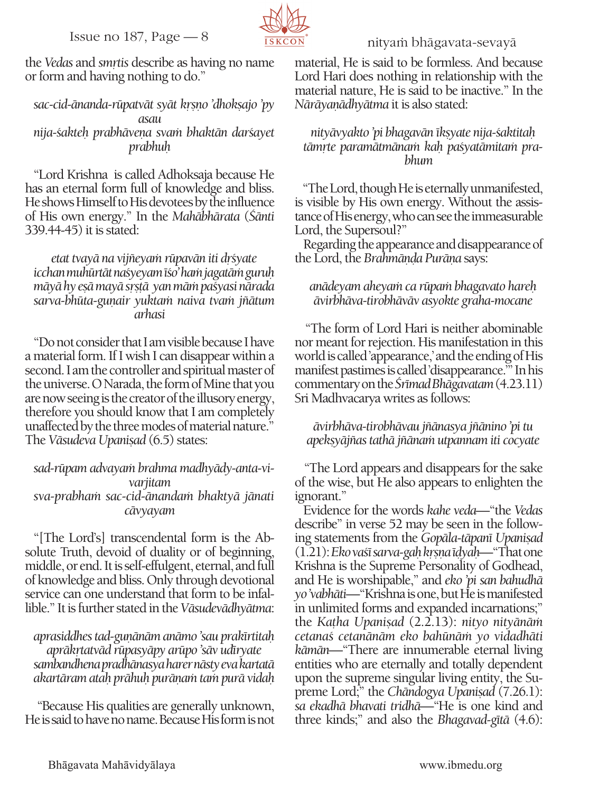

the *Vedas* and *smrtis* describe as having no name or form and having nothing to do."

#### *sac-cid-änanda-rüpatvät syät kåñëo 'dhokñajo 'py asau nija-çakteù prabhäveëa svaà bhaktän darçayet prabhuù*

"Lord Krishna is called Adhoksaja because He has an eternal form full of knowledge and bliss. He shows Himself to His devotees by the influence of His own energy." In the *Mahäbhärata* (*Çänti*  339.44-45) it is stated:

#### *etat tvayä na vijïeyaà rüpavän iti dåçyate icchan muhürtät naçyeyam éço' haà jagatäà guruù mäyä hy eñä mayä såñöä yan mäà paçyasi närada sarva-bhüta-guëair yuktaà naiva tvaà jïätum arhasi*

"Do not consider that I am visible because I have a material form. If I wish I can disappear within a second. I am the controller and spiritual master of the universe. O Narada, the form of Mine that you are now seeing is the creator of the illusory energy, therefore you should know that I am completely unaffected by the three modes of material nature." The *Vāsudeva Upanisad* (6.5) states:

## *sad-rüpam advayaà brahma madhyädy-anta-vi- varjitam sva-prabhaà sac-cid-änandaà bhaktyä jänati cävyayam*

"[The Lord's] transcendental form is the Absolute Truth, devoid of duality or of beginning, middle, or end. It is self-effulgent, eternal, and full of knowledge and bliss. Only through devotional service can one understand that form to be infallible." It is further stated in the *Väsudevädhyätma*:

### *aprasiddhes tad-guëänäm anämo 'sau prakértitaù apräkåtatväd rüpasyäpy arüpo 'säv udéryate sambandhena pradhänasya harer nästy eva kartatä akartäram ataù prähuù puräëaà taà purä vidaù*

 "Because His qualities are generally unknown, He is said to have no name. Because His form is not

# Issue no 187, Page  $-8$  nityan bhāgavata-sevayā

material, He is said to be formless. And because Lord Hari does nothing in relationship with the material nature, He is said to be inactive." In the *Nārāyanādhyātma* it is also stated:

### *nityävyakto 'pi bhagavän ékñyate nija-çaktitaù* tāmrte paramātmāna*ni* kah paśyatāmitam pra*bhum*

 "The Lord, though He is eternally unmanifested, is visible by His own energy. Without the assistance of His energy, who can see the immeasurable Lord, the Supersoul?"

Regarding the appearance and disappearance of the Lord, the *Brahmända Puräna* says:

### *anädeyam aheyaà ca rüpaà bhagavato hareù ävirbhäva-tirobhäväv asyokte graha-mocane*

 "The form of Lord Hari is neither abominable nor meant for rejection. His manifestation in this world is called 'appearance,' and the ending of His manifest pastimes is called 'disappearance.'" In his commentary on the *Çrémad Bhägavatam* (4.23.11) Sri Madhvacarya writes as follows:

### *ävirbhäva-tirobhävau jïänasya jïänino 'pi tu apekñyäjïas tathä jïänaà utpannam iti cocyate*

 "The Lord appears and disappears for the sake of the wise, but He also appears to enlighten the ignorant."

Evidence for the words *kahe veda*—"the *Vedas*  describe" in verse 52 may be seen in the following statements from the *Gopala-tapana Upanisad* (1.21): *Eko vast sarva-gah krsna idyah*—"That one Krishna is the Supreme Personality of Godhead, and He is worshipable," and *eko 'pi san bahudhä yo 'vabhäti*—"Krishna is one, but He is manifested in unlimited forms and expanded incarnations;" the *Katha Upanisad* (2.2.13): *nityo nityānām cetanaç cetanänäm eko bahünäà yo vidadhäti kämän*—"There are innumerable eternal living entities who are eternally and totally dependent upon the supreme singular living entity, the Supreme Lord;" the *Chāndogya Upanisad* (7.26.1): *sa ekadhä bhavati tridhä*—"He is one kind and three kinds;" and also the *Bhagavad-gétä* (4.6):